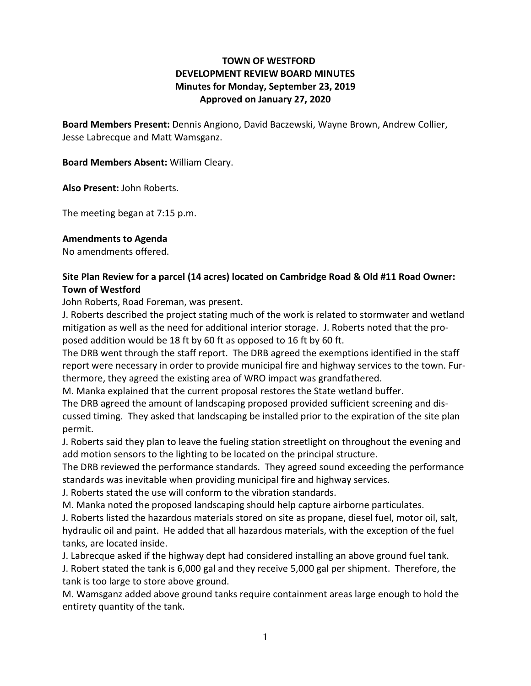# **TOWN OF WESTFORD DEVELOPMENT REVIEW BOARD MINUTES Minutes for Monday, September 23, 2019 Approved on January 27, 2020**

**Board Members Present:** Dennis Angiono, David Baczewski, Wayne Brown, Andrew Collier, Jesse Labrecque and Matt Wamsganz.

**Board Members Absent:** William Cleary.

**Also Present:** John Roberts.

The meeting began at 7:15 p.m.

#### **Amendments to Agenda**

No amendments offered.

## **Site Plan Review for a parcel (14 acres) located on Cambridge Road & Old #11 Road Owner: Town of Westford**

John Roberts, Road Foreman, was present.

J. Roberts described the project stating much of the work is related to stormwater and wetland mitigation as well as the need for additional interior storage. J. Roberts noted that the proposed addition would be 18 ft by 60 ft as opposed to 16 ft by 60 ft.

The DRB went through the staff report. The DRB agreed the exemptions identified in the staff report were necessary in order to provide municipal fire and highway services to the town. Furthermore, they agreed the existing area of WRO impact was grandfathered.

M. Manka explained that the current proposal restores the State wetland buffer.

The DRB agreed the amount of landscaping proposed provided sufficient screening and discussed timing. They asked that landscaping be installed prior to the expiration of the site plan permit.

J. Roberts said they plan to leave the fueling station streetlight on throughout the evening and add motion sensors to the lighting to be located on the principal structure.

The DRB reviewed the performance standards. They agreed sound exceeding the performance standards was inevitable when providing municipal fire and highway services.

J. Roberts stated the use will conform to the vibration standards.

M. Manka noted the proposed landscaping should help capture airborne particulates.

J. Roberts listed the hazardous materials stored on site as propane, diesel fuel, motor oil, salt, hydraulic oil and paint. He added that all hazardous materials, with the exception of the fuel tanks, are located inside.

J. Labrecque asked if the highway dept had considered installing an above ground fuel tank.

J. Robert stated the tank is 6,000 gal and they receive 5,000 gal per shipment. Therefore, the tank is too large to store above ground.

M. Wamsganz added above ground tanks require containment areas large enough to hold the entirety quantity of the tank.